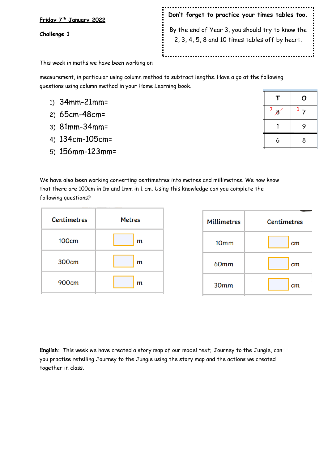**Friday 7th January 2022 Challenge 1 Don't forget to practice your times tables too.** By the end of Year 3, you should try to know the 2, 3, 4, 5, 8 and 10 times tables off by heart.

This week in maths we have been working on

measurement, in particular using column method to subtract lengths. Have a go at the following questions using column method in your Home Learning book.

- 1) 34mm-21mm=
- 2) 65cm-48cm=
- 3) 81mm-34mm=
- 4) 134cm-105cm=
- 5) 156mm-123mm=

|        | О  |
|--------|----|
| $^7$ 8 | 17 |
| 1      | 9  |
| 6      | 8  |

We have also been working converting centimetres into metres and millimetres. We now know that there are 100cm in 1m and 1mm in 1 cm. Using this knowledge can you complete the following questions?

| <b>Centimetres</b> | <b>Metres</b> |  |
|--------------------|---------------|--|
| <b>100cm</b>       | m             |  |
| 300cm              | m             |  |
| 900cm              | m             |  |

| <b>Millimetres</b> | <b>Centimetres</b> |  |  |
|--------------------|--------------------|--|--|
| 10 <sub>mm</sub>   | cm                 |  |  |
| 60mm               | cm                 |  |  |
| 30 <sub>mm</sub>   | cm                 |  |  |

**English:** This week we have created a story map of our model text; Journey to the Jungle, can you practise retelling Journey to the Jungle using the story map and the actions we created together in class.